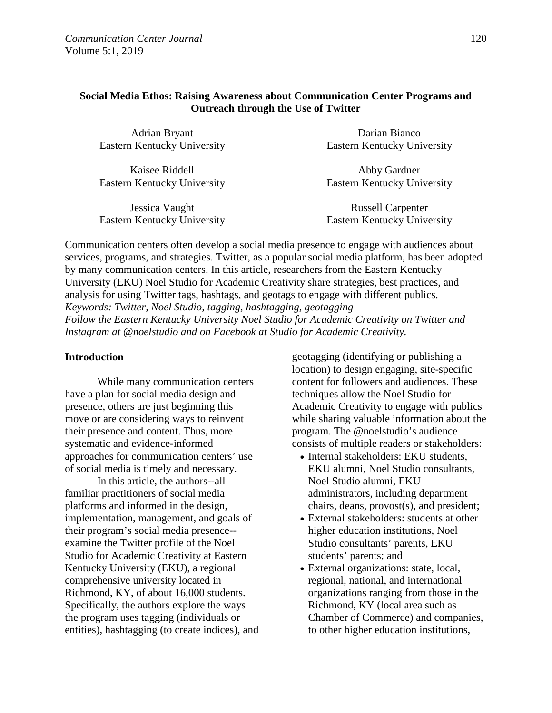## **Social Media Ethos: Raising Awareness about Communication Center Programs and Outreach through the Use of Twitter**

| Adrian Bryant               | Darian Bianco               |  |  |
|-----------------------------|-----------------------------|--|--|
| Eastern Kentucky University | Eastern Kentucky University |  |  |
|                             |                             |  |  |

Kaisee Riddell Eastern Kentucky University

Jessica Vaught Eastern Kentucky University

Abby Gardner Eastern Kentucky University

Russell Carpenter Eastern Kentucky University

Communication centers often develop a social media presence to engage with audiences about services, programs, and strategies. Twitter, as a popular social media platform, has been adopted by many communication centers. In this article, researchers from the Eastern Kentucky University (EKU) Noel Studio for Academic Creativity share strategies, best practices, and analysis for using Twitter tags, hashtags, and geotags to engage with different publics. *Keywords: Twitter, Noel Studio, tagging, hashtagging, geotagging Follow the Eastern Kentucky University Noel Studio for Academic Creativity on Twitter and Instagram at @noelstudio and on Facebook at Studio for Academic Creativity.*

### **Introduction**

While many communication centers have a plan for social media design and presence, others are just beginning this move or are considering ways to reinvent their presence and content. Thus, more systematic and evidence-informed approaches for communication centers' use of social media is timely and necessary.

In this article, the authors--all familiar practitioners of social media platforms and informed in the design, implementation, management, and goals of their program's social media presence- examine the Twitter profile of the Noel Studio for Academic Creativity at Eastern Kentucky University (EKU), a regional comprehensive university located in Richmond, KY, of about 16,000 students. Specifically, the authors explore the ways the program uses tagging (individuals or entities), hashtagging (to create indices), and geotagging (identifying or publishing a location) to design engaging, site-specific content for followers and audiences. These techniques allow the Noel Studio for Academic Creativity to engage with publics while sharing valuable information about the program. The @noelstudio's audience consists of multiple readers or stakeholders:

- Internal stakeholders: EKU students, EKU alumni, Noel Studio consultants, Noel Studio alumni, EKU administrators, including department chairs, deans, provost(s), and president;
- External stakeholders: students at other higher education institutions, Noel Studio consultants' parents, EKU students' parents; and
- External organizations: state, local, regional, national, and international organizations ranging from those in the Richmond, KY (local area such as Chamber of Commerce) and companies, to other higher education institutions,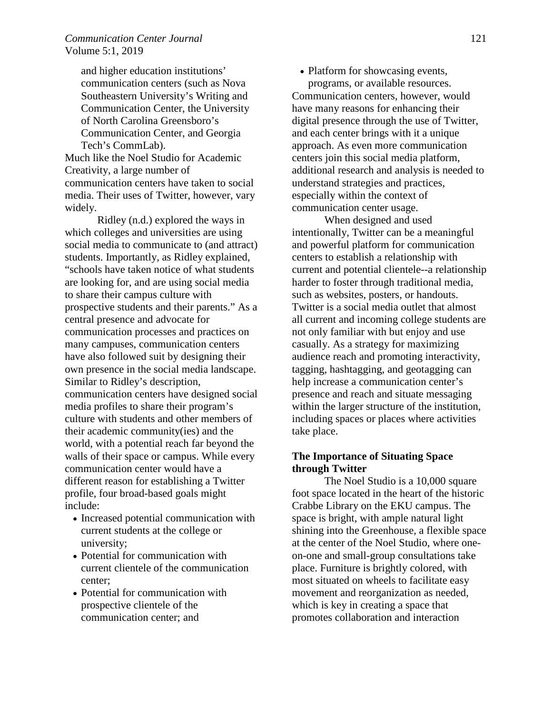and higher education institutions' communication centers (such as Nova Southeastern University's Writing and Communication Center, the University of North Carolina Greensboro's Communication Center, and Georgia Tech's CommLab). Much like the Noel Studio for Academic

Creativity, a large number of communication centers have taken to social media. Their uses of Twitter, however, vary widely.

Ridley (n.d.) explored the ways in which colleges and universities are using social media to communicate to (and attract) students. Importantly, as Ridley explained, "schools have taken notice of what students are looking for, and are using social media to share their campus culture with prospective students and their parents." As a central presence and advocate for communication processes and practices on many campuses, communication centers have also followed suit by designing their own presence in the social media landscape. Similar to Ridley's description, communication centers have designed social media profiles to share their program's culture with students and other members of their academic community(ies) and the world, with a potential reach far beyond the walls of their space or campus. While every communication center would have a different reason for establishing a Twitter profile, four broad-based goals might include:

- Increased potential communication with current students at the college or university;
- Potential for communication with current clientele of the communication center;
- Potential for communication with prospective clientele of the communication center; and

• Platform for showcasing events, programs, or available resources. Communication centers, however, would have many reasons for enhancing their digital presence through the use of Twitter, and each center brings with it a unique approach. As even more communication centers join this social media platform, additional research and analysis is needed to understand strategies and practices, especially within the context of communication center usage.

 When designed and used intentionally, Twitter can be a meaningful and powerful platform for communication centers to establish a relationship with current and potential clientele--a relationship harder to foster through traditional media, such as websites, posters, or handouts. Twitter is a social media outlet that almost all current and incoming college students are not only familiar with but enjoy and use casually. As a strategy for maximizing audience reach and promoting interactivity, tagging, hashtagging, and geotagging can help increase a communication center's presence and reach and situate messaging within the larger structure of the institution, including spaces or places where activities take place.

# **The Importance of Situating Space through Twitter**

The Noel Studio is a 10,000 square foot space located in the heart of the historic Crabbe Library on the EKU campus. The space is bright, with ample natural light shining into the Greenhouse, a flexible space at the center of the Noel Studio, where oneon-one and small-group consultations take place. Furniture is brightly colored, with most situated on wheels to facilitate easy movement and reorganization as needed, which is key in creating a space that promotes collaboration and interaction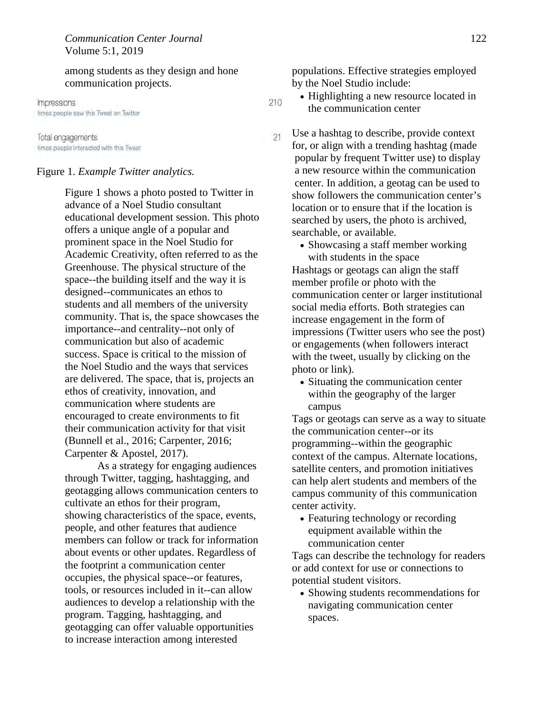among students as they design and hone communication projects.

Impressions times people saw this Tweet on Twitter

Total engagements times people interacted with this Tweet

#### Figure 1. *Example Twitter analytics.*

Figure 1 shows a photo posted to Twitter in advance of a Noel Studio consultant educational development session. This photo offers a unique angle of a popular and prominent space in the Noel Studio for Academic Creativity, often referred to as the Greenhouse. The physical structure of the space--the building itself and the way it is designed--communicates an ethos to students and all members of the university community. That is, the space showcases the importance--and centrality--not only of communication but also of academic success. Space is critical to the mission of the Noel Studio and the ways that services are delivered. The space, that is, projects an ethos of creativity, innovation, and communication where students are encouraged to create environments to fit their communication activity for that visit (Bunnell et al., 2016; Carpenter, 2016; Carpenter & Apostel, 2017).

As a strategy for engaging audiences through Twitter, tagging, hashtagging, and geotagging allows communication centers to cultivate an ethos for their program, showing characteristics of the space, events, people, and other features that audience members can follow or track for information about events or other updates. Regardless of the footprint a communication center occupies, the physical space--or features, tools, or resources included in it--can allow audiences to develop a relationship with the program. Tagging, hashtagging, and geotagging can offer valuable opportunities to increase interaction among interested

populations. Effective strategies employed by the Noel Studio include:

- Highlighting a new resource located in the communication center
- Use a hashtag to describe, provide context  $21$ for, or align with a trending hashtag (made popular by frequent Twitter use) to display a new resource within the communication center. In addition, a geotag can be used to show followers the communication center's location or to ensure that if the location is searched by users, the photo is archived, searchable, or available.
	- Showcasing a staff member working with students in the space

Hashtags or geotags can align the staff member profile or photo with the communication center or larger institutional social media efforts. Both strategies can increase engagement in the form of impressions (Twitter users who see the post) or engagements (when followers interact with the tweet, usually by clicking on the photo or link).

• Situating the communication center within the geography of the larger campus

Tags or geotags can serve as a way to situate the communication center--or its programming--within the geographic context of the campus. Alternate locations, satellite centers, and promotion initiatives can help alert students and members of the campus community of this communication center activity.

• Featuring technology or recording equipment available within the communication center

Tags can describe the technology for readers or add context for use or connections to potential student visitors.

• Showing students recommendations for navigating communication center spaces.

210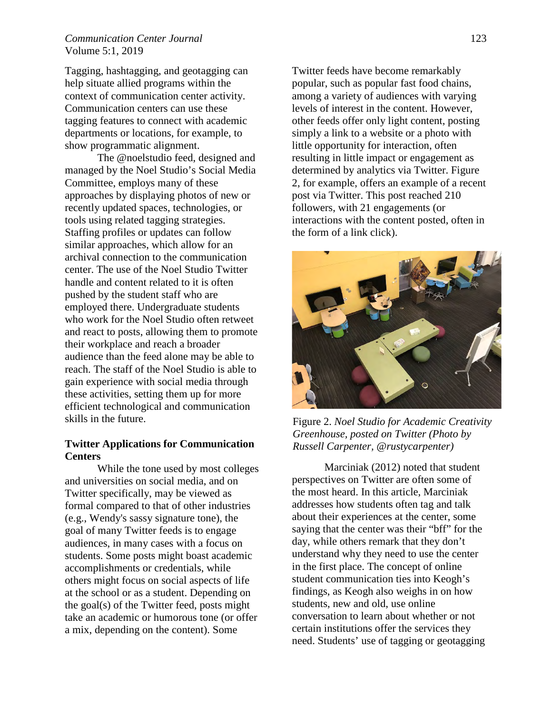# *Communication Center Journal* 123 Volume 5:1, 2019

Tagging, hashtagging, and geotagging can help situate allied programs within the context of communication center activity. Communication centers can use these tagging features to connect with academic departments or locations, for example, to show programmatic alignment.

The @noelstudio feed, designed and managed by the Noel Studio's Social Media Committee, employs many of these approaches by displaying photos of new or recently updated spaces, technologies, or tools using related tagging strategies. Staffing profiles or updates can follow similar approaches, which allow for an archival connection to the communication center. The use of the Noel Studio Twitter handle and content related to it is often pushed by the student staff who are employed there. Undergraduate students who work for the Noel Studio often retweet and react to posts, allowing them to promote their workplace and reach a broader audience than the feed alone may be able to reach. The staff of the Noel Studio is able to gain experience with social media through these activities, setting them up for more efficient technological and communication skills in the future.

### **Twitter Applications for Communication Centers**

While the tone used by most colleges and universities on social media, and on Twitter specifically, may be viewed as formal compared to that of other industries (e.g., Wendy's sassy signature tone), the goal of many Twitter feeds is to engage audiences, in many cases with a focus on students. Some posts might boast academic accomplishments or credentials, while others might focus on social aspects of life at the school or as a student. Depending on the goal(s) of the Twitter feed, posts might take an academic or humorous tone (or offer a mix, depending on the content). Some

Twitter feeds have become remarkably popular, such as popular fast food chains, among a variety of audiences with varying levels of interest in the content. However, other feeds offer only light content, posting simply a link to a website or a photo with little opportunity for interaction, often resulting in little impact or engagement as determined by analytics via Twitter. Figure 2, for example, offers an example of a recent post via Twitter. This post reached 210 followers, with 21 engagements (or interactions with the content posted, often in the form of a link click).



Figure 2. *Noel Studio for Academic Creativity Greenhouse, posted on Twitter (Photo by Russell Carpenter, @rustycarpenter)* 

 Marciniak (2012) noted that student perspectives on Twitter are often some of the most heard. In this article, Marciniak addresses how students often tag and talk about their experiences at the center, some saying that the center was their "bff" for the day, while others remark that they don't understand why they need to use the center in the first place. The concept of online student communication ties into Keogh's findings, as Keogh also weighs in on how students, new and old, use online conversation to learn about whether or not certain institutions offer the services they need. Students' use of tagging or geotagging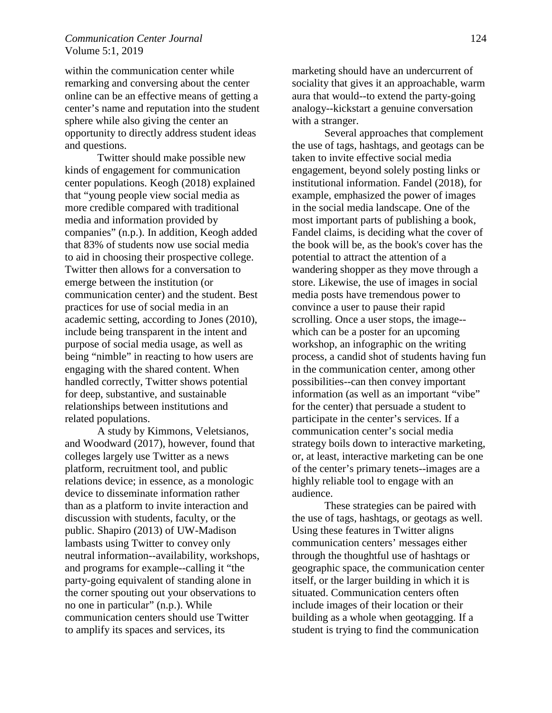### *Communication Center Journal* 124 Volume 5:1, 2019

within the communication center while remarking and conversing about the center online can be an effective means of getting a center's name and reputation into the student sphere while also giving the center an opportunity to directly address student ideas and questions.

Twitter should make possible new kinds of engagement for communication center populations. Keogh (2018) explained that "young people view social media as more credible compared with traditional media and information provided by companies" (n.p.). In addition, Keogh added that 83% of students now use social media to aid in choosing their prospective college. Twitter then allows for a conversation to emerge between the institution (or communication center) and the student. Best practices for use of social media in an academic setting, according to Jones (2010), include being transparent in the intent and purpose of social media usage, as well as being "nimble" in reacting to how users are engaging with the shared content. When handled correctly, Twitter shows potential for deep, substantive, and sustainable relationships between institutions and related populations.

A study by Kimmons, Veletsianos, and Woodward (2017), however, found that colleges largely use Twitter as a news platform, recruitment tool, and public relations device; in essence, as a monologic device to disseminate information rather than as a platform to invite interaction and discussion with students, faculty, or the public. Shapiro (2013) of UW-Madison lambasts using Twitter to convey only neutral information--availability, workshops, and programs for example--calling it "the party-going equivalent of standing alone in the corner spouting out your observations to no one in particular" (n.p.). While communication centers should use Twitter to amplify its spaces and services, its

marketing should have an undercurrent of sociality that gives it an approachable, warm aura that would--to extend the party-going analogy--kickstart a genuine conversation with a stranger.

Several approaches that complement the use of tags, hashtags, and geotags can be taken to invite effective social media engagement, beyond solely posting links or institutional information. Fandel (2018), for example, emphasized the power of images in the social media landscape. One of the most important parts of publishing a book, Fandel claims, is deciding what the cover of the book will be, as the book's cover has the potential to attract the attention of a wandering shopper as they move through a store. Likewise, the use of images in social media posts have tremendous power to convince a user to pause their rapid scrolling. Once a user stops, the image- which can be a poster for an upcoming workshop, an infographic on the writing process, a candid shot of students having fun in the communication center, among other possibilities--can then convey important information (as well as an important "vibe" for the center) that persuade a student to participate in the center's services. If a communication center's social media strategy boils down to interactive marketing, or, at least, interactive marketing can be one of the center's primary tenets--images are a highly reliable tool to engage with an audience.

These strategies can be paired with the use of tags, hashtags, or geotags as well. Using these features in Twitter aligns communication centers' messages either through the thoughtful use of hashtags or geographic space, the communication center itself, or the larger building in which it is situated. Communication centers often include images of their location or their building as a whole when geotagging. If a student is trying to find the communication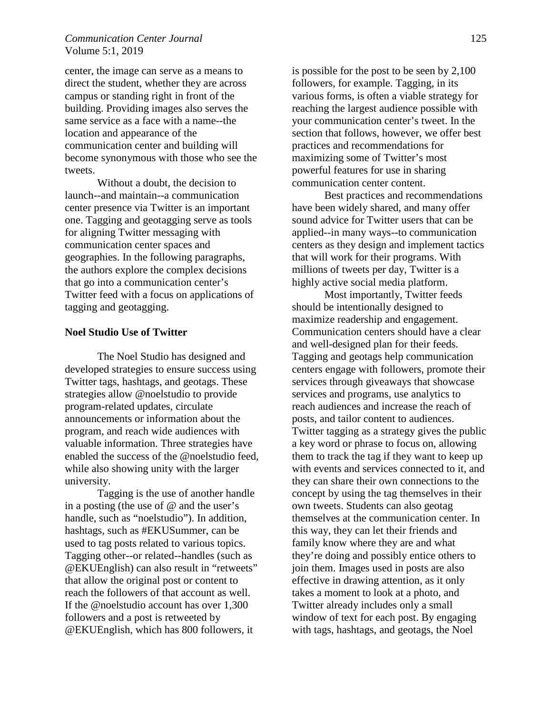### *Communication Center Journal* 125 Volume 5:1, 2019

center, the image can serve as a means to direct the student, whether they are across campus or standing right in front of the building. Providing images also serves the same service as a face with a name--the location and appearance of the communication center and building will become synonymous with those who see the tweets.

Without a doubt, the decision to launch--and maintain--a communication center presence via Twitter is an important one. Tagging and geotagging serve as tools for aligning Twitter messaging with communication center spaces and geographies. In the following paragraphs, the authors explore the complex decisions that go into a communication center's Twitter feed with a focus on applications of tagging and geotagging.

### **Noel Studio Use of Twitter**

The Noel Studio has designed and developed strategies to ensure success using Twitter tags, hashtags, and geotags. These strategies allow @noelstudio to provide program-related updates, circulate announcements or information about the program, and reach wide audiences with valuable information. Three strategies have enabled the success of the @noelstudio feed, while also showing unity with the larger university.

Tagging is the use of another handle in a posting (the use of  $\omega$  and the user's handle, such as "noelstudio"). In addition, hashtags, such as #EKUSummer, can be used to tag posts related to various topics. Tagging other--or related--handles (such as @EKUEnglish) can also result in "retweets" that allow the original post or content to reach the followers of that account as well. If the @noelstudio account has over 1,300 followers and a post is retweeted by @EKUEnglish, which has 800 followers, it

is possible for the post to be seen by 2,100 followers, for example. Tagging, in its various forms, is often a viable strategy for reaching the largest audience possible with your communication center's tweet. In the section that follows, however, we offer best practices and recommendations for maximizing some of Twitter's most powerful features for use in sharing communication center content.

Best practices and recommendations have been widely shared, and many offer sound advice for Twitter users that can be applied--in many ways--to communication centers as they design and implement tactics that will work for their programs. With millions of tweets per day, Twitter is a highly active social media platform.

Most importantly, Twitter feeds should be intentionally designed to maximize readership and engagement. Communication centers should have a clear and well-designed plan for their feeds. Tagging and geotags help communication centers engage with followers, promote their services through giveaways that showcase services and programs, use analytics to reach audiences and increase the reach of posts, and tailor content to audiences. Twitter tagging as a strategy gives the public a key word or phrase to focus on, allowing them to track the tag if they want to keep up with events and services connected to it, and they can share their own connections to the concept by using the tag themselves in their own tweets. Students can also geotag themselves at the communication center. In this way, they can let their friends and family know where they are and what they're doing and possibly entice others to join them. Images used in posts are also effective in drawing attention, as it only takes a moment to look at a photo, and Twitter already includes only a small window of text for each post. By engaging with tags, hashtags, and geotags, the Noel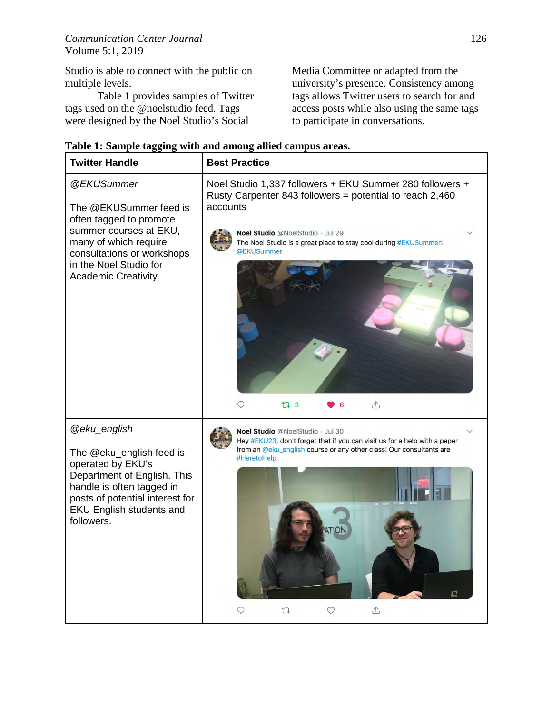Studio is able to connect with the public on multiple levels.

Table 1 provides samples of Twitter tags used on the @noelstudio feed. Tags were designed by the Noel Studio's Social

Media Committee or adapted from the university's presence. Consistency among tags allows Twitter users to search for and access posts while also using the same tags to participate in conversations.

| <b>Twitter Handle</b>                                                                                                                                                                                                | <b>Best Practice</b>                                                                                                                                                                                                                                                                             |
|----------------------------------------------------------------------------------------------------------------------------------------------------------------------------------------------------------------------|--------------------------------------------------------------------------------------------------------------------------------------------------------------------------------------------------------------------------------------------------------------------------------------------------|
| @EKUSummer<br>The @EKUSummer feed is<br>often tagged to promote<br>summer courses at EKU,<br>many of which require<br>consultations or workshops<br>in the Noel Studio for<br>Academic Creativity.                   | Noel Studio 1,337 followers + EKU Summer 280 followers +<br>Rusty Carpenter 843 followers = potential to reach $2,460$<br>accounts<br>Noel Studio @NoelStudio · Jul 29<br>The Noel Studio is a great place to stay cool during #EKUSummer!<br>@EKUSummer<br>t7 3<br>$\hat{\mathbb{L}}$<br>Q<br>6 |
| <b>@eku_english</b><br>The @eku_english feed is<br>operated by EKU's<br>Department of English. This<br>handle is often tagged in<br>posts of potential interest for<br><b>EKU English students and</b><br>followers. | Noel Studio @NoelStudio · Jul 30<br>Hey #EKU23, don't forget that if you can visit us for a help with a paper<br>from an @eku_english course or any other class! Our consultants are<br>#HeretoHelp<br>t<br>$\tau$                                                                               |

|  | Table 1: Sample tagging with and among allied campus areas. |  |  |
|--|-------------------------------------------------------------|--|--|
|  |                                                             |  |  |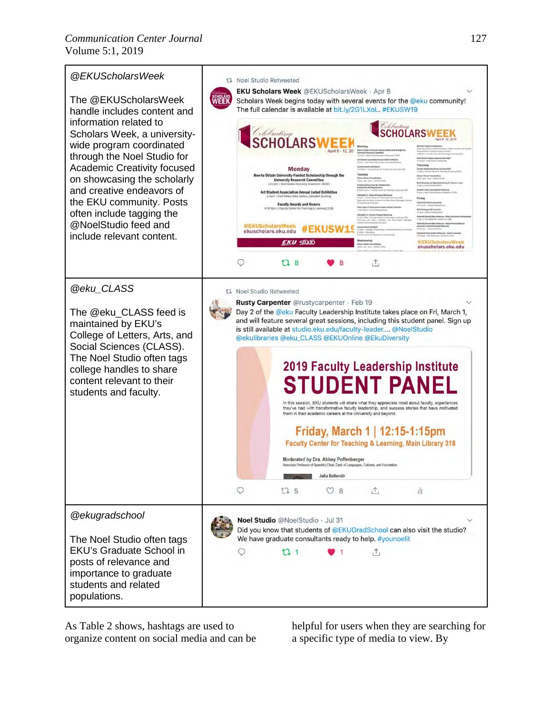

As Table 2 shows, hashtags are used to organize content on social media and can be helpful for users when they are searching for a specific type of media to view. By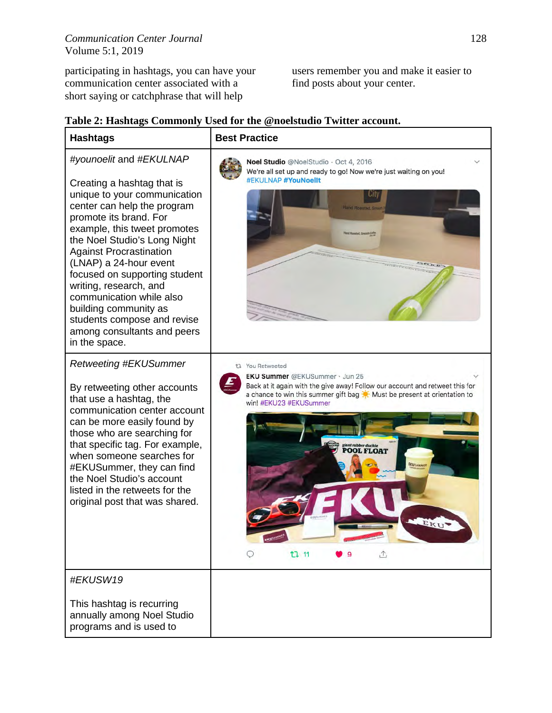participating in hashtags, you can have your communication center associated with a short saying or catchphrase that will help

users remember you and make it easier to find posts about your center.

| <b>Hashtags</b>                                                                                                                                                                                                                                                                                                                                                                                                                                                           | <b>Best Practice</b>                                                                                                                                                                                                                                                                                           |
|---------------------------------------------------------------------------------------------------------------------------------------------------------------------------------------------------------------------------------------------------------------------------------------------------------------------------------------------------------------------------------------------------------------------------------------------------------------------------|----------------------------------------------------------------------------------------------------------------------------------------------------------------------------------------------------------------------------------------------------------------------------------------------------------------|
| #younoelit and #EKULNAP<br>Creating a hashtag that is<br>unique to your communication<br>center can help the program<br>promote its brand. For<br>example, this tweet promotes<br>the Noel Studio's Long Night<br><b>Against Procrastination</b><br>(LNAP) a 24-hour event<br>focused on supporting student<br>writing, research, and<br>communication while also<br>building community as<br>students compose and revise<br>among consultants and peers<br>in the space. | Noel Studio @NoelStudio · Oct 4, 2016<br>We're all set up and ready to go! Now we're just waiting on you!<br>#EKULNAP #YouNoellt<br>Hand Roasted, Sn                                                                                                                                                           |
| <b>Retweeting #EKUSummer</b><br>By retweeting other accounts<br>that use a hashtag, the<br>communication center account<br>can be more easily found by<br>those who are searching for<br>that specific tag. For example,<br>when someone searches for<br>#EKUSummer, they can find<br>the Noel Studio's account<br>listed in the retweets for the<br>original post that was shared.                                                                                       | t1 You Retweeted<br><b>EKU Summer</b> @EKUSummer · Jun 25<br>Back at it again with the give away! Follow our account and retweet this for<br>a chance to win this summer gift bag : Must be present at orientation to<br>win! #EKU23 #EKUSummer<br>giant rubber duckie<br>POOL FLOAT<br>EKUSWAME<br>t7 11<br>⚠ |
| #EKUSW19<br>This hashtag is recurring<br>annually among Noel Studio<br>programs and is used to                                                                                                                                                                                                                                                                                                                                                                            |                                                                                                                                                                                                                                                                                                                |

|  |  | Table 2: Hashtags Commonly Used for the @noelstudio Twitter account. |
|--|--|----------------------------------------------------------------------|
|  |  |                                                                      |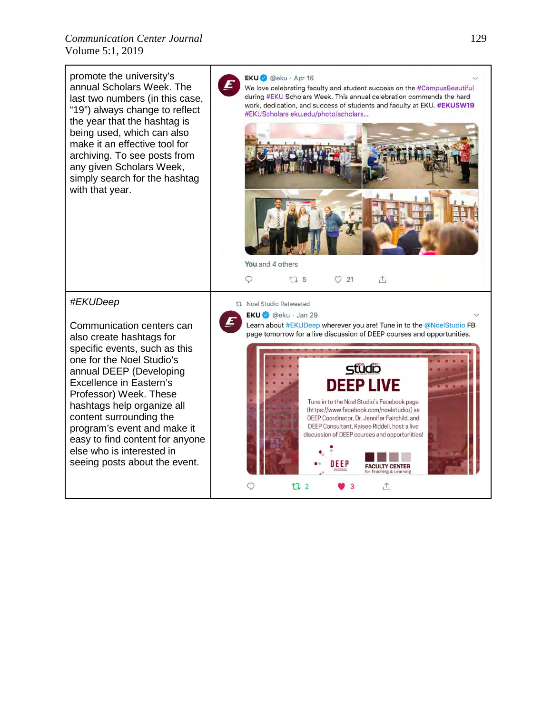*Communication Center Journal* 129 Volume 5:1, 2019

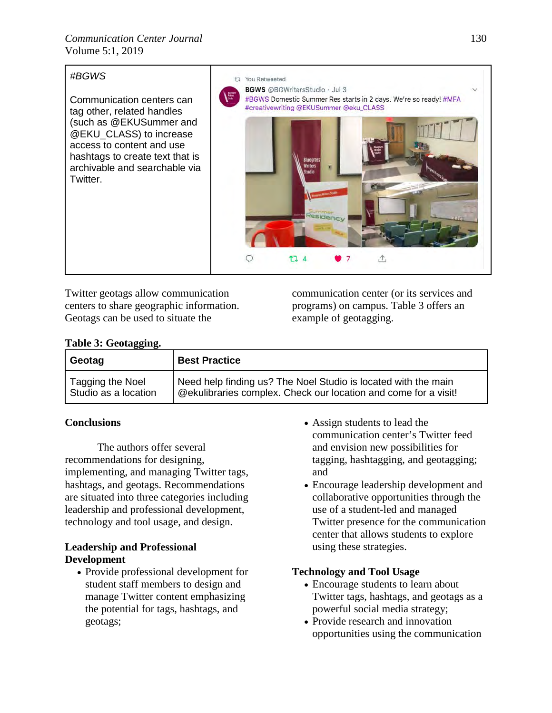# *#BGWS*

Communication centers can tag other, related handles (such as @EKUSummer and @EKU\_CLASS) to increase access to content and use hashtags to create text that is archivable and searchable via Twitter.



Twitter geotags allow communication centers to share geographic information. Geotags can be used to situate the

communication center (or its services and programs) on campus. Table 3 offers an example of geotagging.

# **Table 3: Geotagging.**

| Geotag               | <b>Best Practice</b>                                            |
|----------------------|-----------------------------------------------------------------|
| Tagging the Noel     | Need help finding us? The Noel Studio is located with the main  |
| Studio as a location | @ekulibraries complex. Check our location and come for a visit! |

# **Conclusions**

The authors offer several recommendations for designing, implementing, and managing Twitter tags, hashtags, and geotags. Recommendations are situated into three categories including leadership and professional development, technology and tool usage, and design.

# **Leadership and Professional Development**

• Provide professional development for student staff members to design and manage Twitter content emphasizing the potential for tags, hashtags, and geotags;

- Assign students to lead the communication center's Twitter feed and envision new possibilities for tagging, hashtagging, and geotagging; and
- Encourage leadership development and collaborative opportunities through the use of a student-led and managed Twitter presence for the communication center that allows students to explore using these strategies.

# **Technology and Tool Usage**

- Encourage students to learn about Twitter tags, hashtags, and geotags as a powerful social media strategy;
- Provide research and innovation opportunities using the communication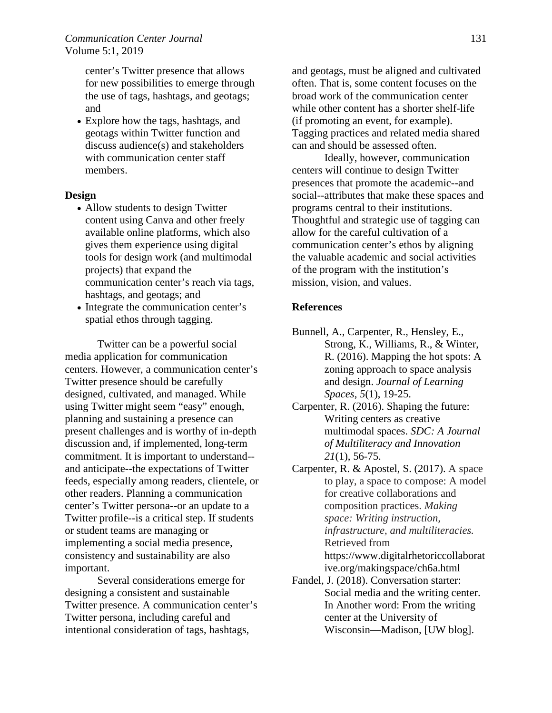center's Twitter presence that allows for new possibilities to emerge through the use of tags, hashtags, and geotags; and

• Explore how the tags, hashtags, and geotags within Twitter function and discuss audience(s) and stakeholders with communication center staff members.

### **Design**

- Allow students to design Twitter content using Canva and other freely available online platforms, which also gives them experience using digital tools for design work (and multimodal projects) that expand the communication center's reach via tags, hashtags, and geotags; and
- Integrate the communication center's spatial ethos through tagging.

Twitter can be a powerful social media application for communication centers. However, a communication center's Twitter presence should be carefully designed, cultivated, and managed. While using Twitter might seem "easy" enough, planning and sustaining a presence can present challenges and is worthy of in-depth discussion and, if implemented, long-term commitment. It is important to understand- and anticipate--the expectations of Twitter feeds, especially among readers, clientele, or other readers. Planning a communication center's Twitter persona--or an update to a Twitter profile--is a critical step. If students or student teams are managing or implementing a social media presence, consistency and sustainability are also important.

 Several considerations emerge for designing a consistent and sustainable Twitter presence. A communication center's Twitter persona, including careful and intentional consideration of tags, hashtags,

and geotags, must be aligned and cultivated often. That is, some content focuses on the broad work of the communication center while other content has a shorter shelf-life (if promoting an event, for example). Tagging practices and related media shared can and should be assessed often.

Ideally, however, communication centers will continue to design Twitter presences that promote the academic--and social--attributes that make these spaces and programs central to their institutions. Thoughtful and strategic use of tagging can allow for the careful cultivation of a communication center's ethos by aligning the valuable academic and social activities of the program with the institution's mission, vision, and values.

# **References**

- Bunnell, A., Carpenter, R., Hensley, E., Strong, K., Williams, R., & Winter, R. (2016). Mapping the hot spots: A zoning approach to space analysis and design. *Journal of Learning Spaces*, *5*(1), 19-25.
- Carpenter, R. (2016). Shaping the future: Writing centers as creative multimodal spaces. *SDC: A Journal of Multiliteracy and Innovation 21*(1), 56-75.
- Carpenter, R. & Apostel, S. (2017). A space to play, a space to compose: A model for creative collaborations and composition practices. *Making space: Writing instruction, infrastructure, and multiliteracies.*  Retrieved from https://www.digitalrhetoriccollaborat ive.org/makingspace/ch6a.html
- Fandel, J. (2018). Conversation starter: Social media and the writing center. In Another word: From the writing center at the University of Wisconsin—Madison*,* [UW blog].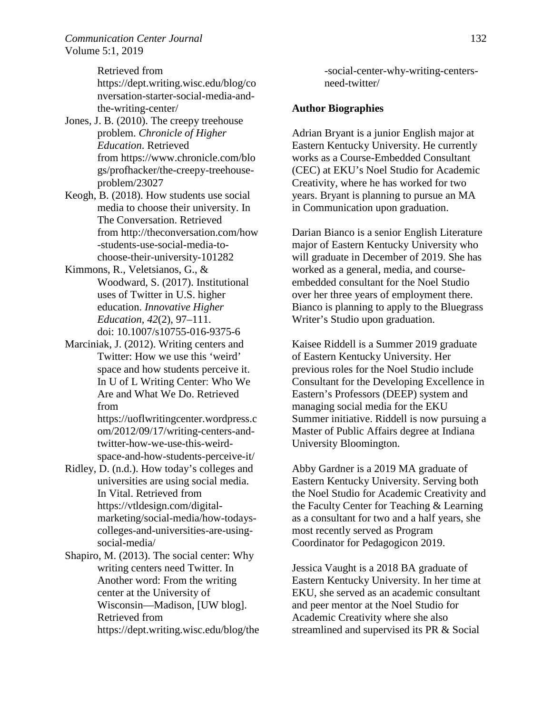*Communication Center Journal* 132 Volume 5:1, 2019

Retrieved from

https://dept.writing.wisc.edu/blog/co nversation-starter-social-media-andthe-writing-center/

- Jones, J. B. (2010). The creepy treehouse problem. *Chronicle of Higher Education*. Retrieved from https://www.chronicle.com/blo gs/profhacker/the-creepy-treehouseproblem/23027
- Keogh, B. (2018). How students use social media to choose their university. In The Conversation. Retrieved from http://theconversation.com/how -students-use-social-media-tochoose-their-university-101282
- Kimmons, R., Veletsianos, G., & Woodward, S. (2017). Institutional uses of Twitter in U.S. higher education. *Innovative Higher Education*, *42*(2), 97–111. doi: 10.1007/s10755-016-9375-6
- Marciniak, J. (2012). Writing centers and Twitter: How we use this 'weird' space and how students perceive it. In U of L Writing Center: Who We Are and What We Do. Retrieved from

https://uoflwritingcenter.wordpress.c om/2012/09/17/writing-centers-andtwitter-how-we-use-this-weirdspace-and-how-students-perceive-it/

- Ridley, D. (n.d.). How today's colleges and universities are using social media. In Vital. Retrieved from https://vtldesign.com/digitalmarketing/social-media/how-todayscolleges-and-universities-are-usingsocial-media/
- Shapiro, M. (2013). The social center: Why writing centers need Twitter. In Another word: From the writing center at the University of Wisconsin—Madison, [UW blog]. Retrieved from https://dept.writing.wisc.edu/blog/the

-social-center-why-writing-centersneed-twitter/

### **Author Biographies**

Adrian Bryant is a junior English major at Eastern Kentucky University. He currently works as a Course-Embedded Consultant (CEC) at EKU's Noel Studio for Academic Creativity, where he has worked for two years. Bryant is planning to pursue an MA in Communication upon graduation.

Darian Bianco is a senior English Literature major of Eastern Kentucky University who will graduate in December of 2019. She has worked as a general, media, and courseembedded consultant for the Noel Studio over her three years of employment there. Bianco is planning to apply to the Bluegrass Writer's Studio upon graduation.

Kaisee Riddell is a Summer 2019 graduate of Eastern Kentucky University. Her previous roles for the Noel Studio include Consultant for the Developing Excellence in Eastern's Professors (DEEP) system and managing social media for the EKU Summer initiative. Riddell is now pursuing a Master of Public Affairs degree at Indiana University Bloomington.

Abby Gardner is a 2019 MA graduate of Eastern Kentucky University. Serving both the Noel Studio for Academic Creativity and the Faculty Center for Teaching & Learning as a consultant for two and a half years, she most recently served as Program Coordinator for Pedagogicon 2019.

Jessica Vaught is a 2018 BA graduate of Eastern Kentucky University. In her time at EKU, she served as an academic consultant and peer mentor at the Noel Studio for Academic Creativity where she also streamlined and supervised its PR & Social